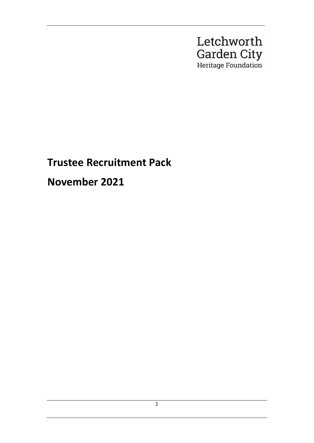

# **Trustee Recruitment Pack**

**November 2021**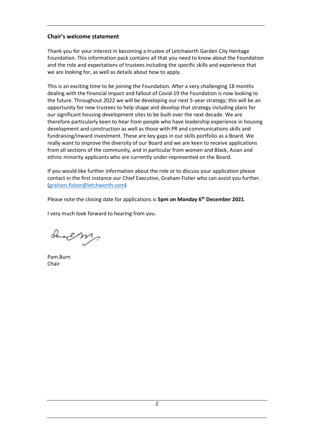## **Chair's welcome statement**

Thank you for your interest in becoming a trustee of Letchworth Garden City Heritage Foundation. This information pack contains all that you need to know about the Foundation and the role and expectations of trustees including the specific skills and experience that we are looking for, as well as details about how to apply.

This is an exciting time to be joining the Foundation. After a very challenging 18 months dealing with the financial impact and fallout of Covid-19 the Foundation is now looking to the future. Throughout 2022 we will be developing our next 5-year strategy; this will be an opportunity for new trustees to help shape and develop that strategy including plans for our significant housing development sites to be built over the next decade. We are therefore particularly keen to hear from people who have leadership experience in housing development and construction as well as those with PR and communications skills and fundraising/inward investment. These are key gaps in our skills portfolio as a Board. We really want to improve the diversity of our Board and we are keen to receive applications from all sections of the community, and in particular from women and Black, Asian and ethnic minority applicants who are currently under-represented on the Board.

If you would like further information about the role or to discuss your application please contact in the first instance our Chief Executive, Graham Fisher who can assist you further. [\(graham.fisher@letchworth.com\)](mailto:graham.fisher@letchworth.com)

Please note the closing date for applications is **5pm on Monday 6th December 2021**.

I very much look forward to hearing from you.

church m.

Pam Burn Chair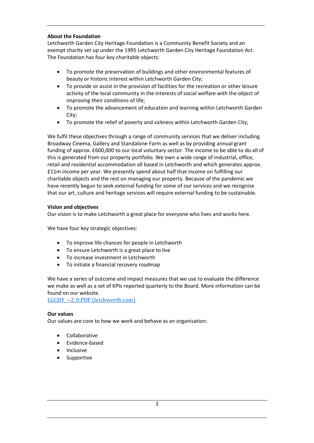## **About the Foundation**

Letchworth Garden City Heritage Foundation is a Community Benefit Society and an exempt charity set up under the 1995 Letchworth Garden City Heritage Foundation Act. The Foundation has four key charitable objects:

- To promote the preservation of buildings and other environmental features of beauty or historic interest within Letchworth Garden City;
- To provide or assist in the provision of facilities for the recreation or other leisure activity of the local community in the interests of social welfare with the object of improving their conditions of life;
- To promote the advancement of education and learning within Letchworth Garden City;
- To promote the relief of poverty and sickness within Letchworth Garden City;

We fulfil these objectives through a range of community services that we deliver including Broadway Cinema, Gallery and Standalone Farm as well as by providing annual grant funding of approx. £600,000 to our local voluntary sector. The income to be able to do all of this is generated from our property portfolio. We own a wide range of industrial, office, retail and residential accommodation all based in Letchworth and which generates approx. £11m income per year. We presently spend about half that income on fulfilling our charitable objects and the rest on managing our property. Because of the pandemic we have recently begun to seek external funding for some of our services and we recognise that our art, culture and heritage services will require external funding to be sustainable.

#### **Vision and objectives**

Our vision is to make Letchworth a great place for everyone who lives and works here.

We have four key strategic objectives:

- To improve life chances for people in Letchworth
- To ensure Letchworth is a great place to live
- To increase investment in Letchworth
- To initiate a financial recovery roadmap

We have a series of outcome and impact measures that we use to evaluate the difference we make as well as a set of KPIs reported quarterly to the Board. More information can be found on our website.

LGCHF  $\sim$  2\_0.PDF (letchworth.com)

#### **Our values**

Our values are core to how we work and behave as an organisation:

- Collaborative
- Evidence-based
- **Inclusive**
- **Supportive**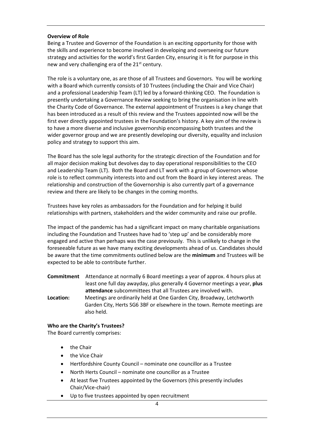#### **Overview of Role**

Being a Trustee and Governor of the Foundation is an exciting opportunity for those with the skills and experience to become involved in developing and overseeing our future strategy and activities for the world's first Garden City, ensuring it is fit for purpose in this new and very challenging era of the  $21<sup>st</sup>$  century.

The role is a voluntary one, as are those of all Trustees and Governors. You will be working with a Board which currently consists of 10 Trustees (including the Chair and Vice Chair) and a professional Leadership Team (LT) led by a forward-thinking CEO. The Foundation is presently undertaking a Governance Review seeking to bring the organisation in line with the Charity Code of Governance. The external appointment of Trustees is a key change that has been introduced as a result of this review and the Trustees appointed now will be the first ever directly appointed trustees in the Foundation's history. A key aim of the review is to have a more diverse and inclusive governorship encompassing both trustees and the wider governor group and we are presently developing our diversity, equality and inclusion policy and strategy to support this aim.

The Board has the sole legal authority for the strategic direction of the Foundation and for all major decision making but devolves day to day operational responsibilities to the CEO and Leadership Team (LT). Both the Board and LT work with a group of Governors whose role is to reflect community interests into and out from the Board in key interest areas. The relationship and construction of the Governorship is also currently part of a governance review and there are likely to be changes in the coming months.

Trustees have key roles as ambassadors for the Foundation and for helping it build relationships with partners, stakeholders and the wider community and raise our profile.

The impact of the pandemic has had a significant impact on many charitable organisations including the Foundation and Trustees have had to 'step up' and be considerably more engaged and active than perhaps was the case previously. This is unlikely to change in the foreseeable future as we have many exciting developments ahead of us. Candidates should be aware that the time commitments outlined below are the **minimum** and Trustees will be expected to be able to contribute further.

**Commitment** Attendance at normally 6 Board meetings a year of approx. 4 hours plus at least one full day awayday, plus generally 4 Governor meetings a year, **plus attendance** subcommittees that all Trustees are involved with. **Location:** Meetings are ordinarily held at One Garden City, Broadway, Letchworth Garden City, Herts SG6 3BF or elsewhere in the town. Remote meetings are also held.

#### **Who are the Charity's Trustees?**

The Board currently comprises:

- the Chair
- the Vice Chair
- Hertfordshire County Council nominate one councillor as a Trustee
- North Herts Council nominate one councillor as a Trustee
- At least five Trustees appointed by the Governors (this presently includes Chair/Vice-chair)
- Up to five trustees appointed by open recruitment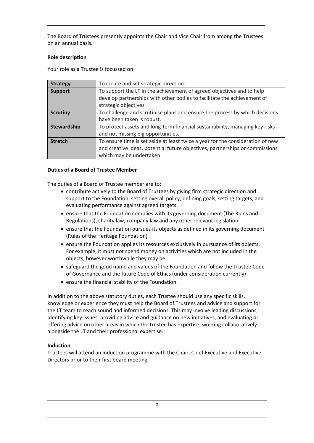The Board of Trustees presently appoints the Chair and Vice Chair from among the Trustees on an annual basis.

## **Role description**

Your role as a Trustee is focussed on:

| <b>Strategy</b> | To create and set strategic direction.                                                                                                                                                    |
|-----------------|-------------------------------------------------------------------------------------------------------------------------------------------------------------------------------------------|
| <b>Support</b>  | To support the LT in the achievement of agreed objectives and to help<br>develop partnerships with other bodies to facilitate the achievement of<br>strategic objectives                  |
| <b>Scrutiny</b> | To challenge and scrutinise plans and ensure the process by which decisions<br>have been taken is robust.                                                                                 |
| Stewardship     | To protect assets and long-term financial sustainability, managing key risks<br>and not missing big opportunities.                                                                        |
| <b>Stretch</b>  | To ensure time is set aside at least twice a year for the consideration of new<br>and creative ideas, potential future objectives, partnerships or commissions<br>which may be undertaken |

#### **Duties of a Board of Trustee Member**

The duties of a Board of Trustee member are to:

- contribute actively to the Board of Trustees by giving firm strategic direction and support to the Foundation, setting overall policy, defining goals, setting targets, and evaluating performance against agreed targets
- ensure that the Foundation complies with its governing document (The Rules and Regulations), charity law, company law and any other relevant legislation
- ensure that the Foundation pursues its objects as defined in its governing document (Rules of the Heritage Foundation)
- ensure the Foundation applies its resources exclusively in pursuance of its objects. For example, it must not spend money on activities which are not included in the objects, however worthwhile they may be
- safeguard the good name and values of the Foundation and follow the Trustee Code of Governance and the future Code of Ethics (under consideration currently)
- ensure the financial stability of the Foundation.

In addition to the above statutory duties, each Trustee should use any specific skills, knowledge or experience they must help the Board of Trustees and advice and support for the LT team to reach sound and informed decisions. This may involve leading discussions, identifying key issues, providing advice and guidance on new initiatives, and evaluating or offering advice on other areas in which the trustee has expertise, working collaboratively alongside the LT and their professional expertise.

# **Induction**

Trustees will attend an induction programme with the Chair, Chief Executive and Executive Directors prior to their first board meeting.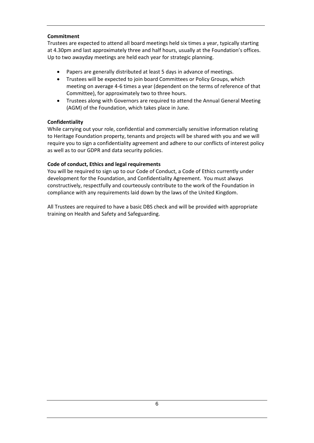## **Commitment**

Trustees are expected to attend all board meetings held six times a year, typically starting at 4.30pm and last approximately three and half hours, usually at the Foundation's offices. Up to two awayday meetings are held each year for strategic planning.

- Papers are generally distributed at least 5 days in advance of meetings.
- Trustees will be expected to join board Committees or Policy Groups, which meeting on average 4-6 times a year (dependent on the terms of reference of that Committee), for approximately two to three hours.
- Trustees along with Governors are required to attend the Annual General Meeting (AGM) of the Foundation, which takes place in June.

#### **Confidentiality**

While carrying out your role, confidential and commercially sensitive information relating to Heritage Foundation property, tenants and projects will be shared with you and we will require you to sign a confidentiality agreement and adhere to our conflicts of interest policy as well as to our GDPR and data security policies.

#### **Code of conduct, Ethics and legal requirements**

You will be required to sign up to our Code of Conduct, a Code of Ethics currently under development for the Foundation, and Confidentiality Agreement. You must always constructively, respectfully and courteously contribute to the work of the Foundation in compliance with any requirements laid down by the laws of the United Kingdom.

All Trustees are required to have a basic DBS check and will be provided with appropriate training on Health and Safety and Safeguarding.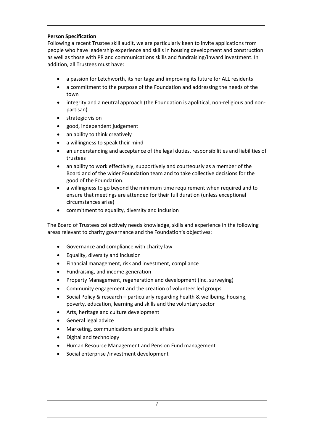# **Person Specification**

Following a recent Trustee skill audit, we are particularly keen to invite applications from people who have leadership experience and skills in housing development and construction as well as those with PR and communications skills and fundraising/inward investment. In addition, all Trustees must have:

- a passion for Letchworth, its heritage and improving its future for ALL residents
- a commitment to the purpose of the Foundation and addressing the needs of the town
- integrity and a neutral approach (the Foundation is apolitical, non-religious and nonpartisan)
- strategic vision
- good, independent judgement
- an ability to think creatively
- a willingness to speak their mind
- an understanding and acceptance of the legal duties, responsibilities and liabilities of trustees
- an ability to work effectively, supportively and courteously as a member of the Board and of the wider Foundation team and to take collective decisions for the good of the Foundation.
- a willingness to go beyond the minimum time requirement when required and to ensure that meetings are attended for their full duration (unless exceptional circumstances arise)
- commitment to equality, diversity and inclusion

The Board of Trustees collectively needs knowledge, skills and experience in the following areas relevant to charity governance and the Foundation's objectives:

- Governance and compliance with charity law
- Equality, diversity and inclusion
- Financial management, risk and investment, compliance
- Fundraising, and income generation
- Property Management, regeneration and development (inc. surveying)
- Community engagement and the creation of volunteer led groups
- Social Policy & research particularly regarding health & wellbeing, housing, poverty, education, learning and skills and the voluntary sector
- Arts, heritage and culture development
- General legal advice
- Marketing, communications and public affairs
- Digital and technology
- Human Resource Management and Pension Fund management
- Social enterprise /investment development